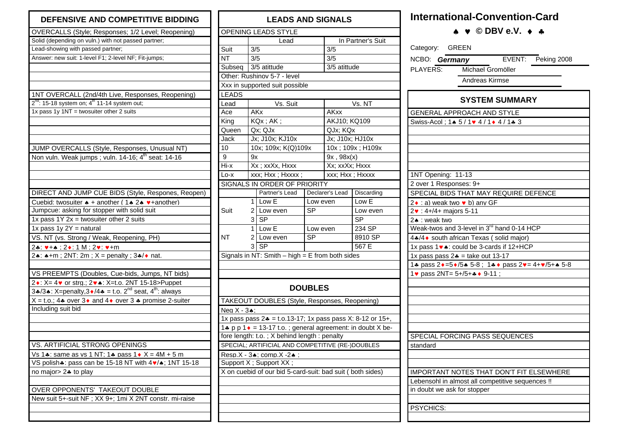| DEFENSIVE AND COMPETITIVE BIDDING                                                       |  |  |  |  |  |  |
|-----------------------------------------------------------------------------------------|--|--|--|--|--|--|
| OVERCALLS (Style; Responses; 1/2 Level; Reopening)                                      |  |  |  |  |  |  |
| Solid (depending on vuln.) with not passed partner;                                     |  |  |  |  |  |  |
| Lead-showing with passed partner;                                                       |  |  |  |  |  |  |
| Answer: new suit: 1-level F1; 2-level NF; Fit-jumps;                                    |  |  |  |  |  |  |
|                                                                                         |  |  |  |  |  |  |
|                                                                                         |  |  |  |  |  |  |
| 1NT OVERCALL (2nd/4th Live, Responses, Reopening)                                       |  |  |  |  |  |  |
| $2^{nd}$ : 15-18 system on; $4^{th}$ 11-14 system out;                                  |  |  |  |  |  |  |
| 1x pass 1y 1NT = twosuiter other 2 suits                                                |  |  |  |  |  |  |
| JUMP OVERCALLS (Style, Responses, Unusual NT)                                           |  |  |  |  |  |  |
| Non vuln. Weak jumps; vuln. 14-16; 4 <sup>th</sup> seat: 14-16                          |  |  |  |  |  |  |
|                                                                                         |  |  |  |  |  |  |
|                                                                                         |  |  |  |  |  |  |
| DIRECT AND JUMP CUE BIDS (Style, Respones, Reopen)                                      |  |  |  |  |  |  |
| Cuebid: twosuiter $\triangle +$ another (1 $\triangle 2 \triangle 2$ + another)         |  |  |  |  |  |  |
| Jumpcue: asking for stopper with solid suit                                             |  |  |  |  |  |  |
| 1x pass $1Y 2x =$ twosuiter other 2 suits                                               |  |  |  |  |  |  |
| 1x pass $1y 2Y =$ natural                                                               |  |  |  |  |  |  |
| VS. NT (vs. Strong / Weak, Reopening, PH)                                               |  |  |  |  |  |  |
|                                                                                         |  |  |  |  |  |  |
| <u>2*: ♥+▲ : 2◆: 1 M : 2♥: ♥+m</u><br>2. A + m; 2NT: 2m; $X =$ penalty; 3. A + nat.     |  |  |  |  |  |  |
|                                                                                         |  |  |  |  |  |  |
| VS PREEMPTS (Doubles, Cue-bids, Jumps, NT bids)                                         |  |  |  |  |  |  |
| 2 . X = 4 v or stra.: 2 . X = t.o. 2NT 15-18>Puppet                                     |  |  |  |  |  |  |
| 3.4/3. X=penalty, 3 $\bullet$ /4. = t.o. 2 <sup>nd</sup> seat, 4 <sup>th</sup> : always |  |  |  |  |  |  |
| $X = t.o.; 4* over 3* and 4* over 3* promise 2-suiter$                                  |  |  |  |  |  |  |
| Including suit bid                                                                      |  |  |  |  |  |  |
|                                                                                         |  |  |  |  |  |  |
| VS. ARTIFICIAL STRONG OPENINGS                                                          |  |  |  |  |  |  |
| Vs 1.4: same as vs 1 NT; 1.4 pass 1.6 $X = 4M + 5m$                                     |  |  |  |  |  |  |
| VS polish.: pass can be 15-18 NT with $4\bullet/$ . 1NT 15-18                           |  |  |  |  |  |  |
| no major $> 2$ to play                                                                  |  |  |  |  |  |  |
|                                                                                         |  |  |  |  |  |  |
| OVER OPPONENTS' TAKEOUT DOUBLE                                                          |  |  |  |  |  |  |
| New suit 5+-suit NF; XX 9+; 1mi X 2NT constr. mi-raise                                  |  |  |  |  |  |  |
|                                                                                         |  |  |  |  |  |  |
|                                                                                         |  |  |  |  |  |  |

| <b>LEADS AND SIGNALS</b>    |                 |                                                                    |                |                   |            |  |  |  |  |  |
|-----------------------------|-----------------|--------------------------------------------------------------------|----------------|-------------------|------------|--|--|--|--|--|
|                             |                 | OPENING LEADS STYLE                                                |                |                   |            |  |  |  |  |  |
|                             |                 | Lead                                                               |                | In Partner's Suit |            |  |  |  |  |  |
| Suit                        | 3/5             |                                                                    |                | 3/5               |            |  |  |  |  |  |
| NΤ                          | 3/5             |                                                                    |                | 3/5               |            |  |  |  |  |  |
| Subseq                      |                 | 3/5 atittude                                                       |                | 3/5 atittude      |            |  |  |  |  |  |
| Other: Rushinov 5-7 - level |                 |                                                                    |                |                   |            |  |  |  |  |  |
|                             |                 | Xxx in supported suit possible                                     |                |                   |            |  |  |  |  |  |
| <b>LEADS</b>                |                 |                                                                    |                |                   |            |  |  |  |  |  |
| Lead                        |                 | Vs. Suit                                                           |                | Vs. NT            |            |  |  |  |  |  |
| Ace                         |                 | <b>AKx</b>                                                         |                | <b>AKxx</b>       |            |  |  |  |  |  |
| King                        |                 | KQx; AK;                                                           |                | AKJ10; KQ109      |            |  |  |  |  |  |
| Queen                       |                 | Qx: QJx                                                            |                | QJx; KQx          |            |  |  |  |  |  |
| Jack                        |                 | Jx; J10x; KJ10x                                                    |                | Jx; J10x; HJ10x   |            |  |  |  |  |  |
| 10                          |                 | 10x; 109x; K(Q)109x                                                |                | 10x; 109x; H109x  |            |  |  |  |  |  |
| 9                           | 9x              |                                                                    |                | 9x, 98x(x)        |            |  |  |  |  |  |
| Hi-x                        |                 | Xx; xxXx, Hxxx                                                     |                | Xx; xxXx; Hxxx    |            |  |  |  |  |  |
| Lo-x                        |                 | xxx; Hxx; Hxxxx;                                                   |                | xxx; Hxx; Hxxxx   |            |  |  |  |  |  |
|                             |                 | SIGNALS IN ORDER OF PRIORITY                                       |                |                   |            |  |  |  |  |  |
|                             |                 | Partner's Lead                                                     |                | Declarer's Lead   | Discarding |  |  |  |  |  |
|                             | 1               | Low E                                                              | Low even       |                   | Low E      |  |  |  |  |  |
| Suit                        | 2               | Low even<br>SP<br><b>SP</b><br>3                                   |                |                   | Low even   |  |  |  |  |  |
|                             |                 |                                                                    |                |                   | SP         |  |  |  |  |  |
|                             | 1               | Low E<br>Low even                                                  |                |                   | 234 SP     |  |  |  |  |  |
| <b>NT</b>                   |                 | 2 Low even<br><b>SP</b>                                            |                |                   | 8910 SP    |  |  |  |  |  |
|                             | <b>SP</b><br>3. |                                                                    |                |                   | 567 E      |  |  |  |  |  |
|                             |                 | Signals in NT: Smith $-$ high $=$ E from both sides                |                |                   |            |  |  |  |  |  |
|                             |                 |                                                                    |                |                   |            |  |  |  |  |  |
|                             |                 |                                                                    |                |                   |            |  |  |  |  |  |
|                             |                 |                                                                    | <b>DOUBLES</b> |                   |            |  |  |  |  |  |
|                             |                 | TAKEOUT DOUBLES (Style, Responses, Reopening)                      |                |                   |            |  |  |  |  |  |
| Neq $X - 3$ $\bullet$ :     |                 |                                                                    |                |                   |            |  |  |  |  |  |
|                             |                 | 1x pass pass $2* = t.0.13-17$ ; 1x pass pass X: 8-12 or 15+,       |                |                   |            |  |  |  |  |  |
|                             |                 | 1. p p 1 $\bullet$ = 13-17 t.o.; general agreement: in doubt X be- |                |                   |            |  |  |  |  |  |
|                             |                 | fore length: t.o.; X behind length: penalty                        |                |                   |            |  |  |  |  |  |
|                             |                 | SPECIAL; ARTIFICIAL AND COMPETITIVE (RE-)DOUBLES                   |                |                   |            |  |  |  |  |  |
|                             |                 | Resp.X - 34: comp.X -24:                                           |                |                   |            |  |  |  |  |  |
|                             |                 | Support X ; Support XX ;                                           |                |                   |            |  |  |  |  |  |
|                             |                 | X on cuebid of our bid 5-card-suit: bad suit ( both sides)         |                |                   |            |  |  |  |  |  |
|                             |                 |                                                                    |                |                   |            |  |  |  |  |  |
|                             |                 |                                                                    |                |                   |            |  |  |  |  |  |
|                             |                 |                                                                    |                |                   |            |  |  |  |  |  |
|                             |                 |                                                                    |                |                   |            |  |  |  |  |  |
|                             |                 |                                                                    |                |                   |            |  |  |  |  |  |

## **International-Convention-Card**

♠ ♥ **© DBV e.V.** ♦ ♣

| Category: GREEN                                                               |  |  |  |  |  |  |  |  |  |  |
|-------------------------------------------------------------------------------|--|--|--|--|--|--|--|--|--|--|
| EVENT: Peking 2008<br>NCBO: <b>Germany</b> EVEI<br>PLAYERS: Michael Gromöller |  |  |  |  |  |  |  |  |  |  |
|                                                                               |  |  |  |  |  |  |  |  |  |  |
| Andreas Kirmse                                                                |  |  |  |  |  |  |  |  |  |  |
|                                                                               |  |  |  |  |  |  |  |  |  |  |
| <b>SYSTEM SUMMARY</b>                                                         |  |  |  |  |  |  |  |  |  |  |
| <b>GENERAL APPROACH AND STYLE</b>                                             |  |  |  |  |  |  |  |  |  |  |
| Swiss-Acol: 14 5 / 1v 4 / 1+ 4 / 1+ 3                                         |  |  |  |  |  |  |  |  |  |  |
|                                                                               |  |  |  |  |  |  |  |  |  |  |
|                                                                               |  |  |  |  |  |  |  |  |  |  |
|                                                                               |  |  |  |  |  |  |  |  |  |  |
|                                                                               |  |  |  |  |  |  |  |  |  |  |
| 1NT Opening: 11-13                                                            |  |  |  |  |  |  |  |  |  |  |
| 2 over 1 Responses: 9+                                                        |  |  |  |  |  |  |  |  |  |  |
| SPECIAL BIDS THAT MAY REQUIRE DEFENCE                                         |  |  |  |  |  |  |  |  |  |  |
| 2 • : a) weak two • b) any GF                                                 |  |  |  |  |  |  |  |  |  |  |
| 2v: 4+/4+ majors 5-11                                                         |  |  |  |  |  |  |  |  |  |  |
| 2. : weak two                                                                 |  |  |  |  |  |  |  |  |  |  |
| Weak-twos and 3-level in 3 <sup>rd</sup> hand 0-14 HCP                        |  |  |  |  |  |  |  |  |  |  |
| 4.44 South african Texas (solid major)                                        |  |  |  |  |  |  |  |  |  |  |
| 1x pass 1 v .: could be 3-cards if 12+HCP                                     |  |  |  |  |  |  |  |  |  |  |
| 1x pass pass $2* =$ take out 13-17                                            |  |  |  |  |  |  |  |  |  |  |
| 1. pass 2 + = 5 + / 5 + 5 - 8 ; 1. + + pass 2 + = 4 + + / 5 + + 5 - 8         |  |  |  |  |  |  |  |  |  |  |
| 1 v pass 2NT= 5+/5+4 + 9-11;                                                  |  |  |  |  |  |  |  |  |  |  |
|                                                                               |  |  |  |  |  |  |  |  |  |  |
|                                                                               |  |  |  |  |  |  |  |  |  |  |
|                                                                               |  |  |  |  |  |  |  |  |  |  |
|                                                                               |  |  |  |  |  |  |  |  |  |  |
|                                                                               |  |  |  |  |  |  |  |  |  |  |
| SPECIAL FORCING PASS SEQUENCES                                                |  |  |  |  |  |  |  |  |  |  |
| standard                                                                      |  |  |  |  |  |  |  |  |  |  |
|                                                                               |  |  |  |  |  |  |  |  |  |  |
|                                                                               |  |  |  |  |  |  |  |  |  |  |
| <b>IMPORTANT NOTES THAT DON'T FIT ELSEWHERE</b>                               |  |  |  |  |  |  |  |  |  |  |
| Lebensohl in almost all competitive sequences !!                              |  |  |  |  |  |  |  |  |  |  |
| in doubt we ask for stopper                                                   |  |  |  |  |  |  |  |  |  |  |
|                                                                               |  |  |  |  |  |  |  |  |  |  |
| PSYCHICS:                                                                     |  |  |  |  |  |  |  |  |  |  |